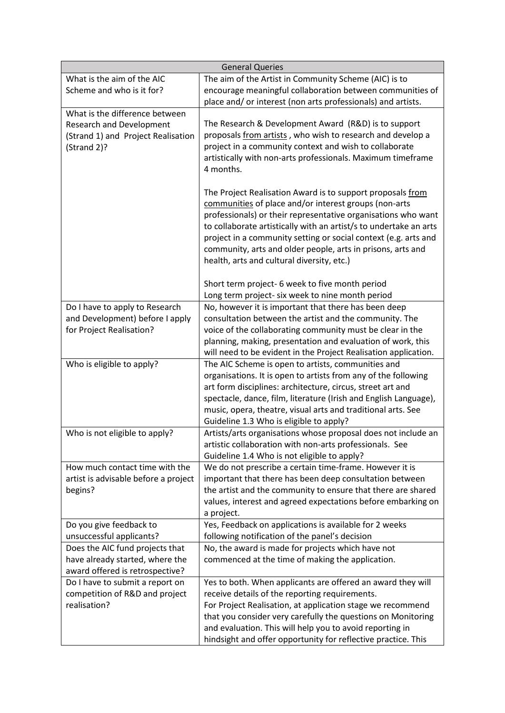|                                      | <b>General Queries</b>                                                                              |
|--------------------------------------|-----------------------------------------------------------------------------------------------------|
| What is the aim of the AIC           | The aim of the Artist in Community Scheme (AIC) is to                                               |
| Scheme and who is it for?            | encourage meaningful collaboration between communities of                                           |
|                                      | place and/or interest (non arts professionals) and artists.                                         |
| What is the difference between       |                                                                                                     |
| <b>Research and Development</b>      | The Research & Development Award (R&D) is to support                                                |
| (Strand 1) and Project Realisation   | proposals from artists, who wish to research and develop a                                          |
| (Strand 2)?                          | project in a community context and wish to collaborate                                              |
|                                      | artistically with non-arts professionals. Maximum timeframe                                         |
|                                      | 4 months.                                                                                           |
|                                      | The Project Realisation Award is to support proposals from                                          |
|                                      | communities of place and/or interest groups (non-arts                                               |
|                                      | professionals) or their representative organisations who want                                       |
|                                      | to collaborate artistically with an artist/s to undertake an arts                                   |
|                                      | project in a community setting or social context (e.g. arts and                                     |
|                                      | community, arts and older people, arts in prisons, arts and                                         |
|                                      | health, arts and cultural diversity, etc.)                                                          |
|                                      |                                                                                                     |
|                                      | Short term project- 6 week to five month period<br>Long term project- six week to nine month period |
| Do I have to apply to Research       | No, however it is important that there has been deep                                                |
| and Development) before I apply      | consultation between the artist and the community. The                                              |
| for Project Realisation?             | voice of the collaborating community must be clear in the                                           |
|                                      | planning, making, presentation and evaluation of work, this                                         |
|                                      | will need to be evident in the Project Realisation application.                                     |
| Who is eligible to apply?            | The AIC Scheme is open to artists, communities and                                                  |
|                                      | organisations. It is open to artists from any of the following                                      |
|                                      | art form disciplines: architecture, circus, street art and                                          |
|                                      | spectacle, dance, film, literature (Irish and English Language),                                    |
|                                      | music, opera, theatre, visual arts and traditional arts. See                                        |
|                                      | Guideline 1.3 Who is eligible to apply?                                                             |
| Who is not eligible to apply?        | Artists/arts organisations whose proposal does not include an                                       |
|                                      | artistic collaboration with non-arts professionals. See                                             |
|                                      | Guideline 1.4 Who is not eligible to apply?                                                         |
| How much contact time with the       | We do not prescribe a certain time-frame. However it is                                             |
| artist is advisable before a project | important that there has been deep consultation between                                             |
| begins?                              | the artist and the community to ensure that there are shared                                        |
|                                      | values, interest and agreed expectations before embarking on                                        |
|                                      | a project.                                                                                          |
| Do you give feedback to              | Yes, Feedback on applications is available for 2 weeks                                              |
| unsuccessful applicants?             | following notification of the panel's decision                                                      |
| Does the AIC fund projects that      | No, the award is made for projects which have not                                                   |
| have already started, where the      | commenced at the time of making the application.                                                    |
| award offered is retrospective?      |                                                                                                     |
| Do I have to submit a report on      | Yes to both. When applicants are offered an award they will                                         |
| competition of R&D and project       | receive details of the reporting requirements.                                                      |
| realisation?                         | For Project Realisation, at application stage we recommend                                          |
|                                      | that you consider very carefully the questions on Monitoring                                        |
|                                      | and evaluation. This will help you to avoid reporting in                                            |
|                                      | hindsight and offer opportunity for reflective practice. This                                       |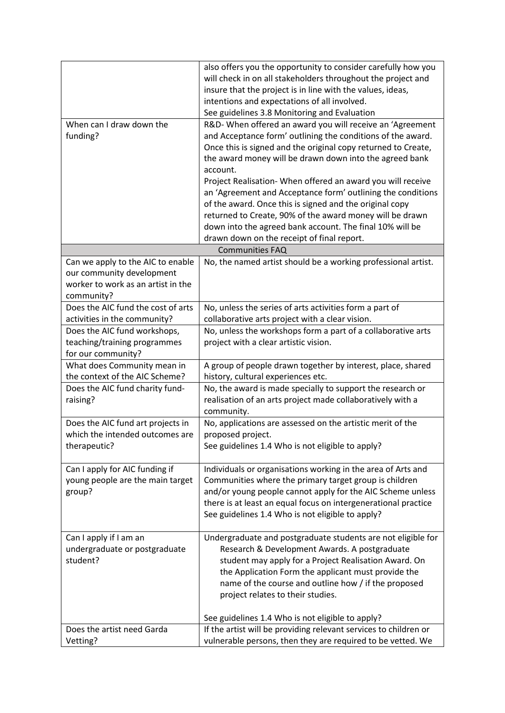|                                    | also offers you the opportunity to consider carefully how you    |
|------------------------------------|------------------------------------------------------------------|
|                                    | will check in on all stakeholders throughout the project and     |
|                                    | insure that the project is in line with the values, ideas,       |
|                                    | intentions and expectations of all involved.                     |
|                                    |                                                                  |
|                                    | See guidelines 3.8 Monitoring and Evaluation                     |
| When can I draw down the           | R&D- When offered an award you will receive an 'Agreement        |
| funding?                           | and Acceptance form' outlining the conditions of the award.      |
|                                    | Once this is signed and the original copy returned to Create,    |
|                                    | the award money will be drawn down into the agreed bank          |
|                                    | account.                                                         |
|                                    | Project Realisation- When offered an award you will receive      |
|                                    | an 'Agreement and Acceptance form' outlining the conditions      |
|                                    | of the award. Once this is signed and the original copy          |
|                                    | returned to Create, 90% of the award money will be drawn         |
|                                    | down into the agreed bank account. The final 10% will be         |
|                                    | drawn down on the receipt of final report.                       |
|                                    | <b>Communities FAQ</b>                                           |
| Can we apply to the AIC to enable  | No, the named artist should be a working professional artist.    |
| our community development          |                                                                  |
| worker to work as an artist in the |                                                                  |
| community?                         |                                                                  |
| Does the AIC fund the cost of arts | No, unless the series of arts activities form a part of          |
|                                    |                                                                  |
| activities in the community?       | collaborative arts project with a clear vision.                  |
| Does the AIC fund workshops,       | No, unless the workshops form a part of a collaborative arts     |
| teaching/training programmes       | project with a clear artistic vision.                            |
| for our community?                 |                                                                  |
| What does Community mean in        | A group of people drawn together by interest, place, shared      |
| the context of the AIC Scheme?     | history, cultural experiences etc.                               |
| Does the AIC fund charity fund-    | No, the award is made specially to support the research or       |
| raising?                           | realisation of an arts project made collaboratively with a       |
|                                    | community.                                                       |
| Does the AIC fund art projects in  | No, applications are assessed on the artistic merit of the       |
| which the intended outcomes are    | proposed project.                                                |
| therapeutic?                       | See guidelines 1.4 Who is not eligible to apply?                 |
|                                    |                                                                  |
| Can I apply for AIC funding if     | Individuals or organisations working in the area of Arts and     |
| young people are the main target   | Communities where the primary target group is children           |
| group?                             | and/or young people cannot apply for the AIC Scheme unless       |
|                                    | there is at least an equal focus on intergenerational practice   |
|                                    | See guidelines 1.4 Who is not eligible to apply?                 |
|                                    |                                                                  |
| Can I apply if I am an             | Undergraduate and postgraduate students are not eligible for     |
| undergraduate or postgraduate      | Research & Development Awards. A postgraduate                    |
| student?                           | student may apply for a Project Realisation Award. On            |
|                                    | the Application Form the applicant must provide the              |
|                                    | name of the course and outline how / if the proposed             |
|                                    |                                                                  |
|                                    | project relates to their studies.                                |
|                                    |                                                                  |
|                                    | See guidelines 1.4 Who is not eligible to apply?                 |
| Does the artist need Garda         | If the artist will be providing relevant services to children or |
| Vetting?                           | vulnerable persons, then they are required to be vetted. We      |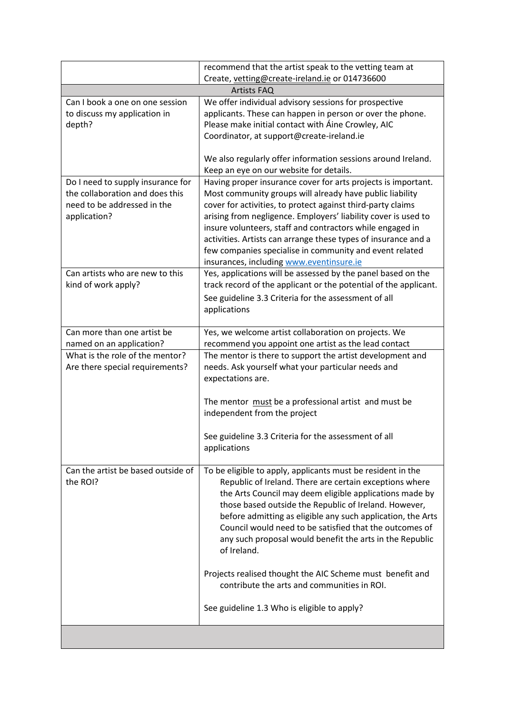|                                                                                                                     | recommend that the artist speak to the vetting team at                                                                                                                                                                                                                                                                                                                                                                                                                                           |
|---------------------------------------------------------------------------------------------------------------------|--------------------------------------------------------------------------------------------------------------------------------------------------------------------------------------------------------------------------------------------------------------------------------------------------------------------------------------------------------------------------------------------------------------------------------------------------------------------------------------------------|
|                                                                                                                     | Create, vetting@create-ireland.ie or 014736600                                                                                                                                                                                                                                                                                                                                                                                                                                                   |
|                                                                                                                     | <b>Artists FAQ</b>                                                                                                                                                                                                                                                                                                                                                                                                                                                                               |
| Can I book a one on one session<br>to discuss my application in<br>depth?                                           | We offer individual advisory sessions for prospective<br>applicants. These can happen in person or over the phone.<br>Please make initial contact with Aine Crowley, AIC<br>Coordinator, at support@create-ireland.ie<br>We also regularly offer information sessions around Ireland.                                                                                                                                                                                                            |
|                                                                                                                     | Keep an eye on our website for details.                                                                                                                                                                                                                                                                                                                                                                                                                                                          |
| Do I need to supply insurance for<br>the collaboration and does this<br>need to be addressed in the<br>application? | Having proper insurance cover for arts projects is important.<br>Most community groups will already have public liability<br>cover for activities, to protect against third-party claims<br>arising from negligence. Employers' liability cover is used to<br>insure volunteers, staff and contractors while engaged in<br>activities. Artists can arrange these types of insurance and a<br>few companies specialise in community and event related<br>insurances, including www.eventinsure.ie |
| Can artists who are new to this<br>kind of work apply?                                                              | Yes, applications will be assessed by the panel based on the<br>track record of the applicant or the potential of the applicant.<br>See guideline 3.3 Criteria for the assessment of all<br>applications                                                                                                                                                                                                                                                                                         |
| Can more than one artist be<br>named on an application?                                                             | Yes, we welcome artist collaboration on projects. We<br>recommend you appoint one artist as the lead contact                                                                                                                                                                                                                                                                                                                                                                                     |
| What is the role of the mentor?<br>Are there special requirements?                                                  | The mentor is there to support the artist development and<br>needs. Ask yourself what your particular needs and<br>expectations are.                                                                                                                                                                                                                                                                                                                                                             |
|                                                                                                                     | The mentor must be a professional artist and must be<br>independent from the project<br>See guideline 3.3 Criteria for the assessment of all                                                                                                                                                                                                                                                                                                                                                     |
|                                                                                                                     | applications                                                                                                                                                                                                                                                                                                                                                                                                                                                                                     |
| Can the artist be based outside of<br>the ROI?                                                                      | To be eligible to apply, applicants must be resident in the<br>Republic of Ireland. There are certain exceptions where<br>the Arts Council may deem eligible applications made by<br>those based outside the Republic of Ireland. However,<br>before admitting as eligible any such application, the Arts<br>Council would need to be satisfied that the outcomes of<br>any such proposal would benefit the arts in the Republic<br>of Ireland.                                                  |
|                                                                                                                     | Projects realised thought the AIC Scheme must benefit and<br>contribute the arts and communities in ROI.                                                                                                                                                                                                                                                                                                                                                                                         |
|                                                                                                                     | See guideline 1.3 Who is eligible to apply?                                                                                                                                                                                                                                                                                                                                                                                                                                                      |
|                                                                                                                     |                                                                                                                                                                                                                                                                                                                                                                                                                                                                                                  |